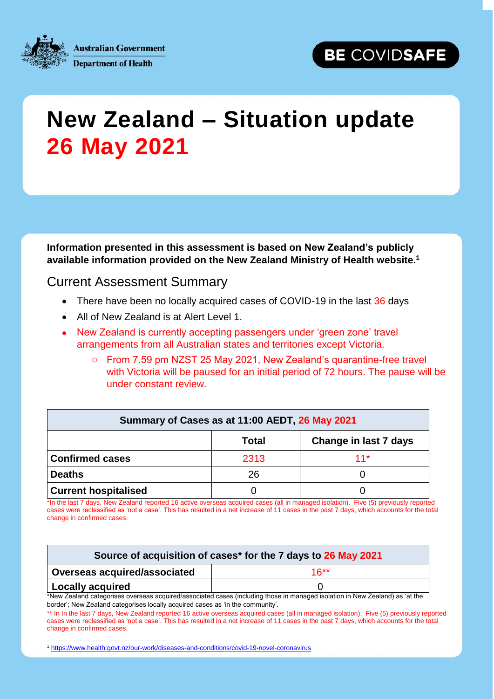

**Australian Government Department of Health** 

## **New Zealand – Situation update 26 May 2021**

**Information presented in this assessment is based on New Zealand's publicly available information provided on the New Zealand Ministry of Health website.<sup>1</sup>**

Current Assessment Summary

- There have been no locally acquired cases of COVID-19 in the last 36 days
- All of New Zealand is at Alert Level 1.
- New Zealand is currently accepting passengers under 'green zone' travel arrangements from all Australian states and territories except Victoria.
	- o From 7.59 pm NZST 25 May 2021, New Zealand's quarantine-free travel with Victoria will be paused for an initial period of 72 hours. The pause will be under constant review.

| Summary of Cases as at 11:00 AEDT, 26 May 2021 |              |                       |  |  |
|------------------------------------------------|--------------|-----------------------|--|--|
|                                                | <b>Total</b> | Change in last 7 days |  |  |
| <b>Confirmed cases</b>                         | 2313         | $11*$                 |  |  |
| <b>Deaths</b>                                  | 26           |                       |  |  |
| <b>Current hospitalised</b>                    |              |                       |  |  |

\*In the last 7 days, New Zealand reported 16 active overseas acquired cases (all in managed isolation). Five (5) previously reported cases were reclassified as 'not a case'. This has resulted in a net increase of 11 cases in the past 7 days, which accounts for the total change in confirmed cases.

| Source of acquisition of cases* for the 7 days to 26 May 2021 |        |  |  |
|---------------------------------------------------------------|--------|--|--|
| Overseas acquired/associated                                  | $16**$ |  |  |
| Locally acquired                                              |        |  |  |

\*New Zealand categorises overseas acquired/associated cases (including those in managed isolation in New Zealand) as 'at the border'; New Zealand categorises locally acquired cases as 'in the community'.

\*\* In In the last 7 days, New Zealand reported 16 active overseas acquired cases (all in managed isolation). Five (5) previously reported cases were reclassified as 'not a case'. This has resulted in a net increase of 11 cases in the past 7 days, which accounts for the total change in confirmed cases.

1 <sup>1</sup> <https://www.health.govt.nz/our-work/diseases-and-conditions/covid-19-novel-coronavirus>